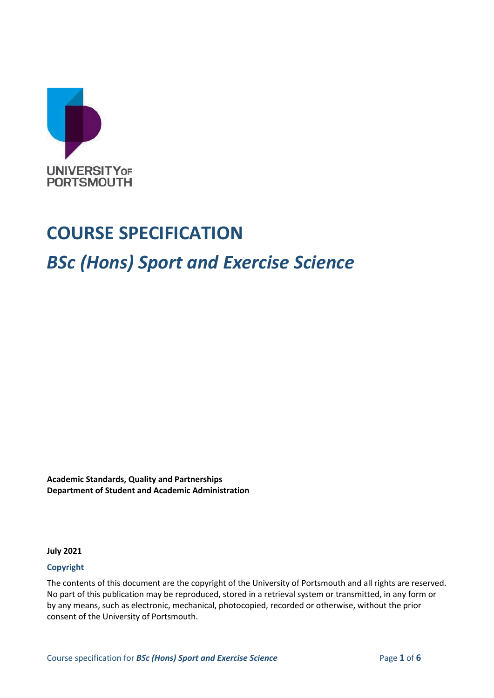

# **COURSE SPECIFICATION**

# *BSc (Hons) Sport and Exercise Science*

**Academic Standards, Quality and Partnerships Department of Student and Academic Administration**

**July 2021**

#### **Copyright**

The contents of this document are the copyright of the University of Portsmouth and all rights are reserved. No part of this publication may be reproduced, stored in a retrieval system or transmitted, in any form or by any means, such as electronic, mechanical, photocopied, recorded or otherwise, without the prior consent of the University of Portsmouth.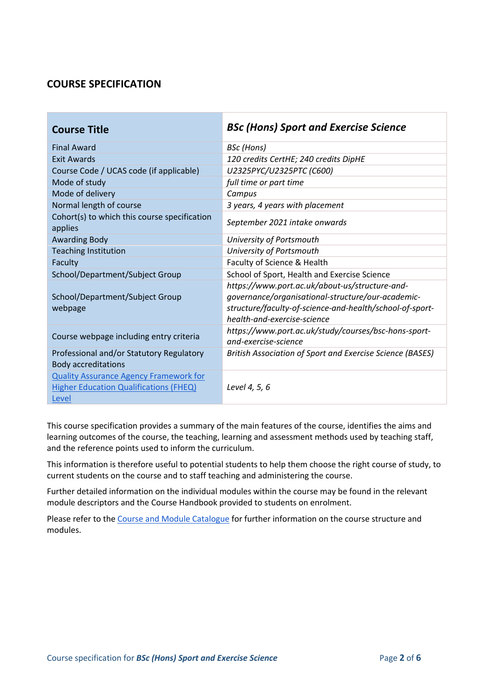# **COURSE SPECIFICATION**

| <b>Course Title</b>                                                                                     | <b>BSc (Hons) Sport and Exercise Science</b>                                                                                                                                                   |
|---------------------------------------------------------------------------------------------------------|------------------------------------------------------------------------------------------------------------------------------------------------------------------------------------------------|
| <b>Final Award</b>                                                                                      | BSc (Hons)                                                                                                                                                                                     |
| <b>Exit Awards</b>                                                                                      | 120 credits CertHE; 240 credits DipHE                                                                                                                                                          |
| Course Code / UCAS code (if applicable)                                                                 | U2325PYC/U2325PTC (C600)                                                                                                                                                                       |
| Mode of study                                                                                           | full time or part time                                                                                                                                                                         |
| Mode of delivery                                                                                        | Campus                                                                                                                                                                                         |
| Normal length of course                                                                                 | 3 years, 4 years with placement                                                                                                                                                                |
| Cohort(s) to which this course specification<br>applies                                                 | September 2021 intake onwards                                                                                                                                                                  |
| <b>Awarding Body</b>                                                                                    | University of Portsmouth                                                                                                                                                                       |
| <b>Teaching Institution</b>                                                                             | University of Portsmouth                                                                                                                                                                       |
| Faculty                                                                                                 | Faculty of Science & Health                                                                                                                                                                    |
| School/Department/Subject Group                                                                         | School of Sport, Health and Exercise Science                                                                                                                                                   |
| School/Department/Subject Group<br>webpage                                                              | https://www.port.ac.uk/about-us/structure-and-<br>governance/organisational-structure/our-academic-<br>structure/faculty-of-science-and-health/school-of-sport-<br>health-and-exercise-science |
| Course webpage including entry criteria                                                                 | https://www.port.ac.uk/study/courses/bsc-hons-sport-<br>and-exercise-science                                                                                                                   |
| Professional and/or Statutory Regulatory<br><b>Body accreditations</b>                                  | British Association of Sport and Exercise Science (BASES)                                                                                                                                      |
| <b>Quality Assurance Agency Framework for</b><br><b>Higher Education Qualifications (FHEQ)</b><br>Level | Level 4, 5, 6                                                                                                                                                                                  |

This course specification provides a summary of the main features of the course, identifies the aims and learning outcomes of the course, the teaching, learning and assessment methods used by teaching staff, and the reference points used to inform the curriculum.

This information is therefore useful to potential students to help them choose the right course of study, to current students on the course and to staff teaching and administering the course.

Further detailed information on the individual modules within the course may be found in the relevant module descriptors and the Course Handbook provided to students on enrolment.

Please refer to the [Course and Module Catalogue](https://course-module-catalog.port.ac.uk/#/welcome) for further information on the course structure and modules.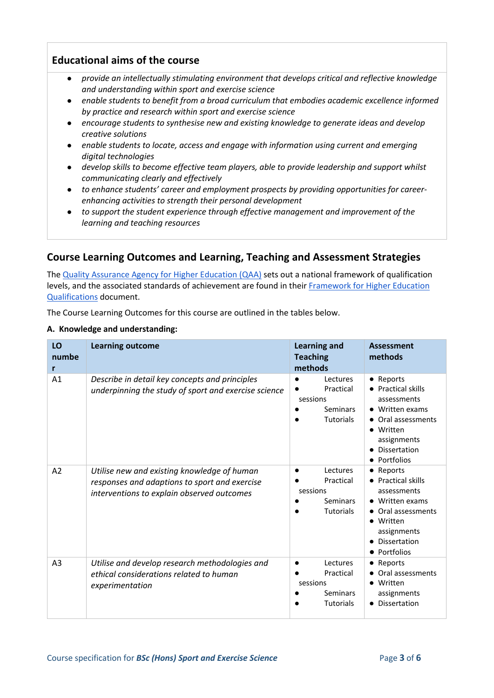#### **Educational aims of the course**

- *provide an intellectually stimulating environment that develops critical and reflective knowledge and understanding within sport and exercise science*
- enable students to benefit from a broad curriculum that embodies academic excellence informed *by practice and research within sport and exercise science*
- encourage students to synthesise new and existing knowledge to generate ideas and develop *creative solutions*
- *enable students to locate, access and engage with information using current and emerging digital technologies*
- *develop skills to become effective team players, able to provide leadership and support whilst communicating clearly and effectively*
- *to enhance students' career and employment prospects by providing opportunities for careerenhancing activities to strength their personal development*
- to support the student experience through effective management and improvement of the *learning and teaching resources*

## **Course Learning Outcomes and Learning, Teaching and Assessment Strategies**

The [Quality Assurance Agency for Higher Education \(QAA\)](http://www.qaa.ac.uk/en) sets out a national framework of qualification levels, and the associated standards of achievement are found in their [Framework for Higher Education](https://www.qaa.ac.uk/quality-code/higher-education-credit-framework-for-england)  [Qualifications](https://www.qaa.ac.uk/quality-code/higher-education-credit-framework-for-england) document.

The Course Learning Outcomes for this course are outlined in the tables below.

#### **A. Knowledge and understanding:**

| LO<br>numbe<br>r | <b>Learning outcome</b>                                                                                                                    | <b>Learning and</b><br><b>Teaching</b><br>methods                        | <b>Assessment</b><br>methods                                                                                                                             |
|------------------|--------------------------------------------------------------------------------------------------------------------------------------------|--------------------------------------------------------------------------|----------------------------------------------------------------------------------------------------------------------------------------------------------|
| A <sub>1</sub>   | Describe in detail key concepts and principles<br>underpinning the study of sport and exercise science                                     | Lectures<br>Practical<br>sessions<br>Seminars<br><b>Tutorials</b>        | • Reports<br>• Practical skills<br>assessments<br>• Written exams<br>Oral assessments<br>• Written<br>assignments<br><b>Dissertation</b><br>• Portfolios |
| A2               | Utilise new and existing knowledge of human<br>responses and adaptions to sport and exercise<br>interventions to explain observed outcomes | Lectures<br>Practical<br>sessions<br>Seminars<br><b>Tutorials</b>        | • Reports<br>• Practical skills<br>assessments<br>• Written exams<br>• Oral assessments<br>• Written<br>assignments<br>• Dissertation<br>• Portfolios    |
| A <sub>3</sub>   | Utilise and develop research methodologies and<br>ethical considerations related to human<br>experimentation                               | Lectures<br>Practical<br>sessions<br><b>Seminars</b><br><b>Tutorials</b> | • Reports<br>• Oral assessments<br>• Written<br>assignments<br>• Dissertation                                                                            |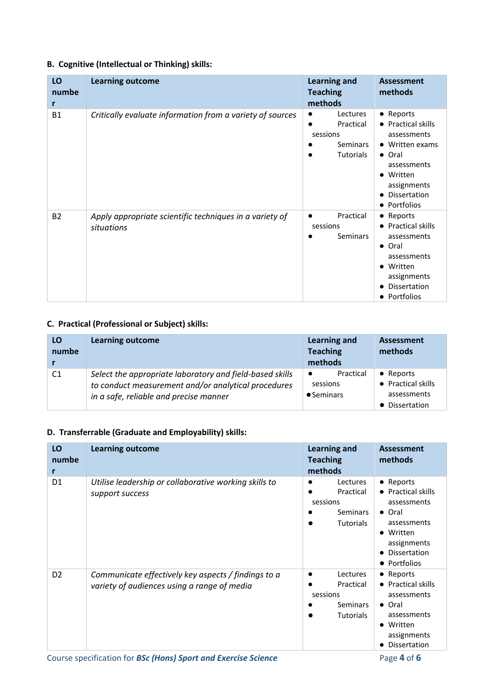#### **B. Cognitive (Intellectual or Thinking) skills:**

| LO<br>numbe<br>r | <b>Learning outcome</b>                                               | <b>Learning and</b><br><b>Teaching</b><br>methods                                           | <b>Assessment</b><br>methods                                                                                                                                      |
|------------------|-----------------------------------------------------------------------|---------------------------------------------------------------------------------------------|-------------------------------------------------------------------------------------------------------------------------------------------------------------------|
| <b>B1</b>        | Critically evaluate information from a variety of sources             | Lectures<br>$\bullet$<br>Practical<br>$\bullet$<br>sessions<br>Seminars<br><b>Tutorials</b> | • Reports<br>• Practical skills<br>assessments<br>• Written exams<br>• Oral<br>assessments<br>Written<br>$\bullet$<br>assignments<br>Dissertation<br>• Portfolios |
| <b>B2</b>        | Apply appropriate scientific techniques in a variety of<br>situations | Practical<br>$\bullet$<br>sessions<br><b>Seminars</b>                                       | • Reports<br>• Practical skills<br>assessments<br>$\bullet$ Oral<br>assessments<br>• Written<br>assignments<br><b>Dissertation</b><br>• Portfolios                |

#### **C. Practical (Professional or Subject) skills:**

| LO<br>numbe    | <b>Learning outcome</b>                                                                                                                                   | Learning and<br><b>Teaching</b><br>methods               | <b>Assessment</b><br>methods                                     |
|----------------|-----------------------------------------------------------------------------------------------------------------------------------------------------------|----------------------------------------------------------|------------------------------------------------------------------|
| C <sub>1</sub> | Select the appropriate laboratory and field-based skills<br>to conduct measurement and/or analytical procedures<br>in a safe, reliable and precise manner | Practical<br>$\bullet$<br>sessions<br>$\bullet$ Seminars | • Reports<br>• Practical skills<br>assessments<br>• Dissertation |

### **D. Transferrable (Graduate and Employability) skills:**

| LO<br>numbe<br>r | <b>Learning outcome</b>                                                                            | <b>Learning and</b><br><b>Teaching</b><br>methods                        | <b>Assessment</b><br>methods                                                                                                                            |
|------------------|----------------------------------------------------------------------------------------------------|--------------------------------------------------------------------------|---------------------------------------------------------------------------------------------------------------------------------------------------------|
| D <sub>1</sub>   | Utilise leadership or collaborative working skills to<br>support success                           | Lectures<br>Practical<br>sessions<br><b>Seminars</b><br><b>Tutorials</b> | • Reports<br>• Practical skills<br>assessments<br>• Oral<br>assessments<br>Written<br>$\bullet$<br>assignments<br>Dissertation<br>• Portfolios          |
| D <sub>2</sub>   | Communicate effectively key aspects / findings to a<br>variety of audiences using a range of media | Lectures<br>Practical<br>sessions<br><b>Seminars</b><br><b>Tutorials</b> | • Reports<br><b>Practical skills</b><br>$\bullet$<br>assessments<br>• Oral<br>assessments<br>Written<br>$\bullet$<br>assignments<br><b>Dissertation</b> |

Course specification for **BSc (Hons) Sport and Exercise Science** Page **4** of **6**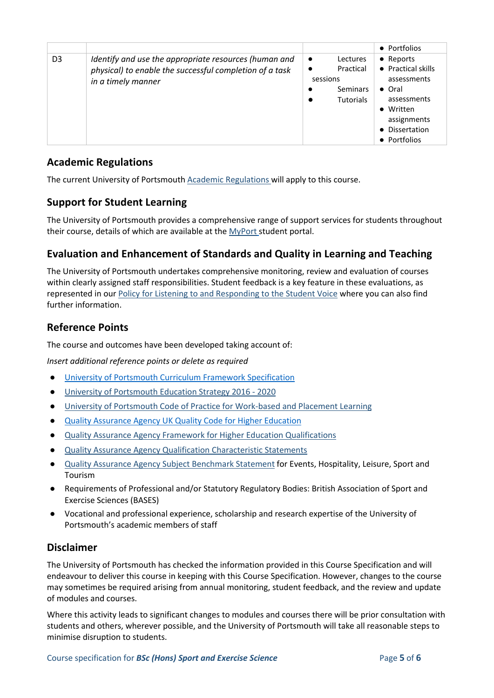|                |                                                                                                                                        |                                                                                             | • Portfolios                                                                                                                                  |
|----------------|----------------------------------------------------------------------------------------------------------------------------------------|---------------------------------------------------------------------------------------------|-----------------------------------------------------------------------------------------------------------------------------------------------|
| D <sub>3</sub> | Identify and use the appropriate resources (human and<br>physical) to enable the successful completion of a task<br>in a timely manner | Lectures<br>$\bullet$<br>Practical<br>$\bullet$<br>sessions<br>Seminars<br><b>Tutorials</b> | • Reports<br>• Practical skills<br>assessments<br>$\bullet$ Oral<br>assessments<br>• Written<br>assignments<br>• Dissertation<br>• Portfolios |

### **Academic Regulations**

The current University of Portsmouth [Academic Regulations](http://policies.docstore.port.ac.uk/policy-107.pdf?_ga=2.44997668.1234197307.1599461794-2095434147.1584443378) will apply to this course.

#### **Support for Student Learning**

The University of Portsmouth provides a comprehensive range of support services for students throughout their course, details of which are available at the [MyPort](http://myport.ac.uk/) student portal.

## **Evaluation and Enhancement of Standards and Quality in Learning and Teaching**

The University of Portsmouth undertakes comprehensive monitoring, review and evaluation of courses within clearly assigned staff responsibilities. Student feedback is a key feature in these evaluations, as represented in our [Policy for Listening to and Responding to the Student Voice](http://policies.docstore.port.ac.uk/policy-069.pdf) where you can also find further information.

## **Reference Points**

The course and outcomes have been developed taking account of:

*Insert additional reference points or delete as required*

- [University of Portsmouth Curriculum Framework Specification](http://policies.docstore.port.ac.uk/policy-217.pdf?_ga=2.80596127.988573471.1600698712-86764541.1593710288)
- [University of Portsmouth Education Strategy 2016 -](http://policies.docstore.port.ac.uk/policy-187.pdf) 2020
- [University of Portsmouth Code of Practice for Work-based and Placement Learning](http://policies.docstore.port.ac.uk/policy-151.pdf)
- **[Quality Assurance Agency UK Quality Code for Higher Education](https://www.qaa.ac.uk/quality-code/UK-Quality-Code-for-Higher-Education-2013-18)**
- [Quality Assurance Agency Framework for Higher Education Qualifications](https://www.qaa.ac.uk/en/quality-code/qualifications-and-credit-frameworks)
- [Quality Assurance Agency Qualification Characteristic Statements](https://www.qaa.ac.uk/quality-code/supporting-resources)
- [Quality Assurance Agency Subject Benchmark Statement](https://www.qaa.ac.uk/quality-code/subject-benchmark-statements) for Events, Hospitality, Leisure, Sport and Tourism
- Requirements of Professional and/or Statutory Regulatory Bodies: British Association of Sport and Exercise Sciences (BASES)
- Vocational and professional experience, scholarship and research expertise of the University of Portsmouth's academic members of staff

#### **Disclaimer**

The University of Portsmouth has checked the information provided in this Course Specification and will endeavour to deliver this course in keeping with this Course Specification. However, changes to the course may sometimes be required arising from annual monitoring, student feedback, and the review and update of modules and courses.

Where this activity leads to significant changes to modules and courses there will be prior consultation with students and others, wherever possible, and the University of Portsmouth will take all reasonable steps to minimise disruption to students.